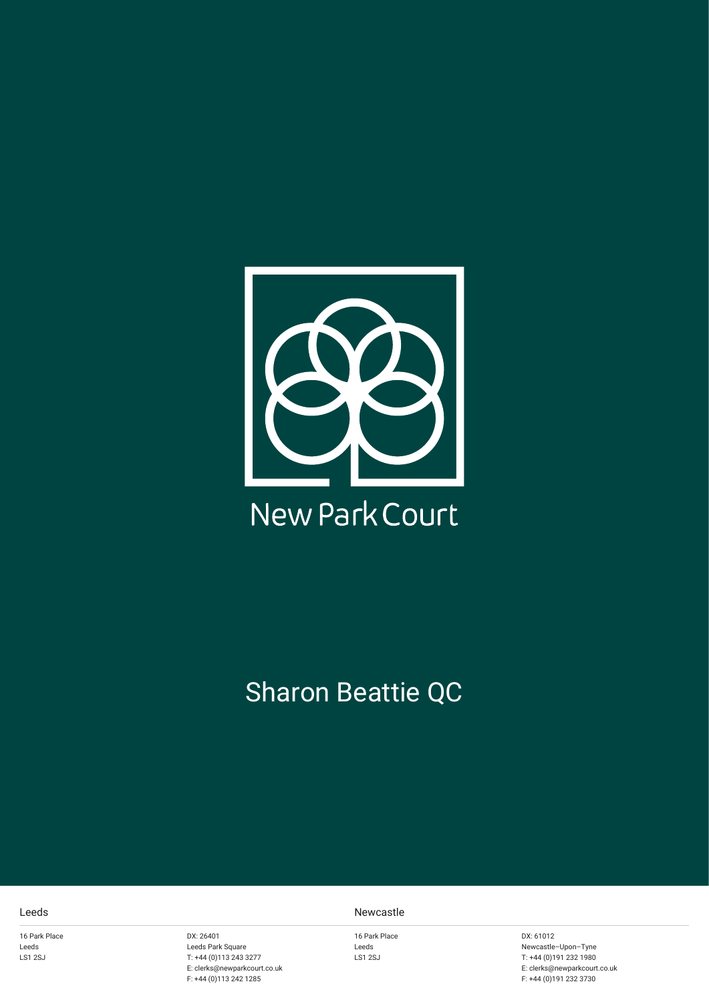

# Sharon Beattie QC

16 Park Place Leeds LS1 2SJ

DX: 26401 Leeds Park Square T: +44 (0)113 243 3277 E: clerks@newparkcourt.co.uk F: +44 (0)113 242 1285

#### Leeds Newcastle

16 Park Place Leeds LS1 2SJ

DX: 61012 Newcastle–Upon–Tyne T: +44 (0)191 232 1980 E: clerks@newparkcourt.co.uk F: +44 (0)191 232 3730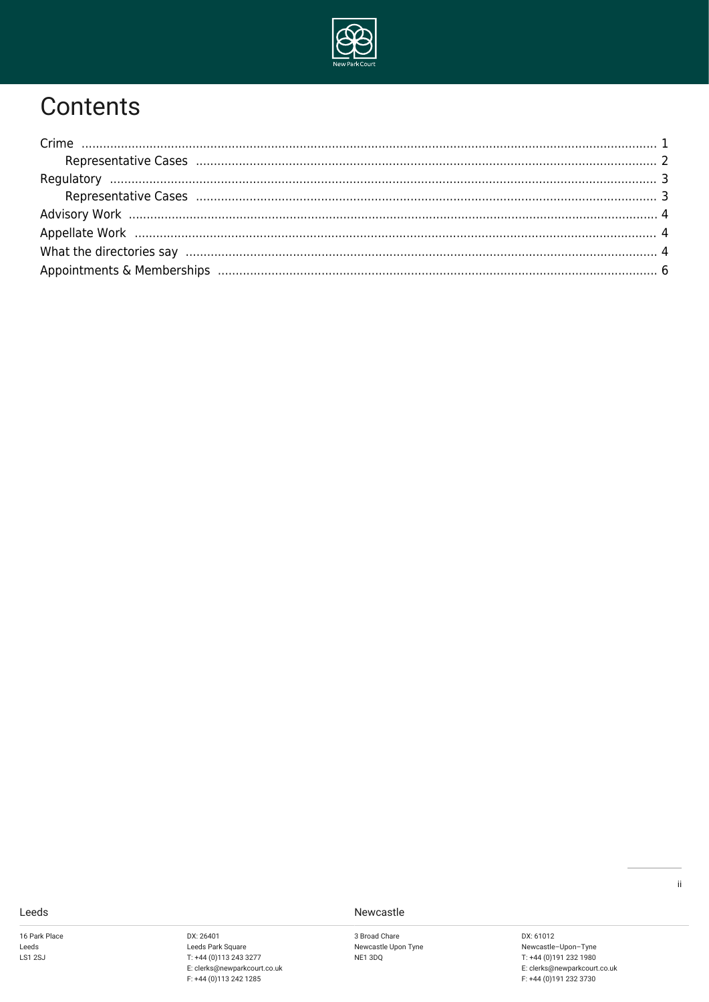

### Contents

| Representative Cases (1111) 1996) (1996) 3                     |  |
|----------------------------------------------------------------|--|
|                                                                |  |
|                                                                |  |
| What the directories say manufactured and the directories of 4 |  |
|                                                                |  |

Leeds

16 Park Place Leeds  $LS1$  2SJ

DX: 26401 Leeds Park Square  $T: +44(0)1132433277$ E: clerks@newparkcourt.co.uk<br>F: +44 (0)113 242 1285 Newcastle

3 Broad Chare Newcastle Upon Tyne NE1 3DQ

DX: 61012 DA: 01012<br>Newcastle-Upon-Tyne<br>T: +44 (0)191 232 1980 E: clerks@newparkcourt.co.uk<br>F: +44 (0)191 232 3730  $\mathbf{ii}$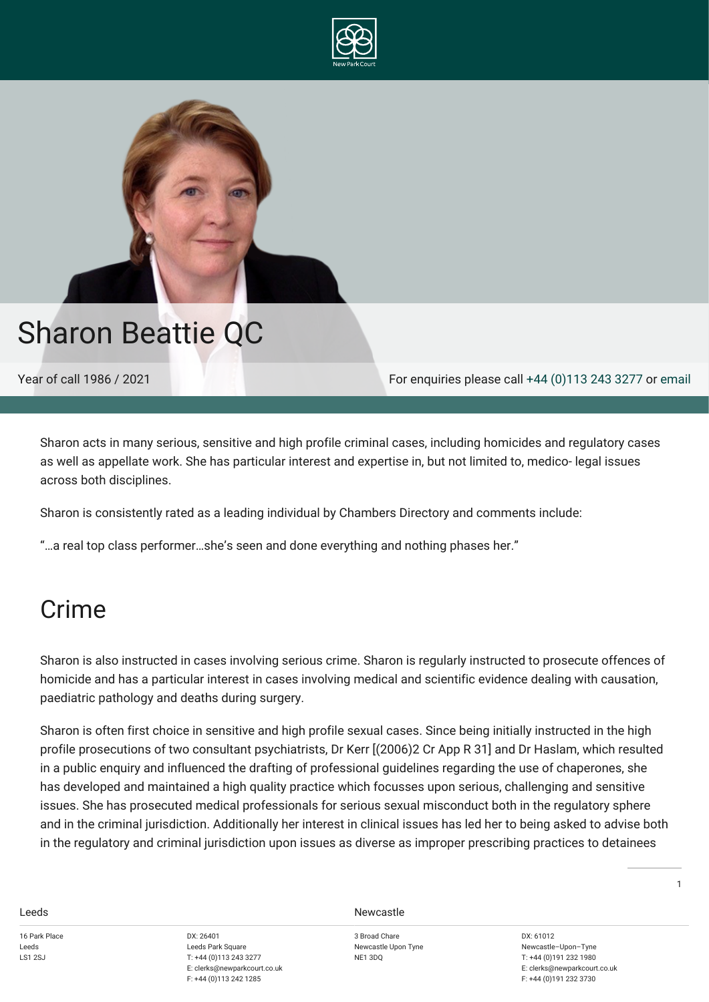



# Sharon Beattie QC

Year of call 1986 / 2021 For enquiries please call [+44 \(0\)113 243 3277](#page--1-0) or [email](mailto:clerks@newparkcourt.co.uk?subject=feedback)

Sharon acts in many serious, sensitive and high profile criminal cases, including homicides and regulatory cases as well as appellate work. She has particular interest and expertise in, but not limited to, medico- legal issues across both disciplines.

Sharon is consistently rated as a leading individual by Chambers Directory and comments include:

"…a real top class performer…she's seen and done everything and nothing phases her."

### <span id="page-2-0"></span>Crime

Sharon is also instructed in cases involving serious crime. Sharon is regularly instructed to prosecute offences of homicide and has a particular interest in cases involving medical and scientific evidence dealing with causation, paediatric pathology and deaths during surgery.

Sharon is often first choice in sensitive and high profile sexual cases. Since being initially instructed in the high profile prosecutions of two consultant psychiatrists, Dr Kerr [(2006)2 Cr App R 31] and Dr Haslam, which resulted in a public enquiry and influenced the drafting of professional guidelines regarding the use of chaperones, she has developed and maintained a high quality practice which focusses upon serious, challenging and sensitive issues. She has prosecuted medical professionals for serious sexual misconduct both in the regulatory sphere and in the criminal jurisdiction. Additionally her interest in clinical issues has led her to being asked to advise both in the regulatory and criminal jurisdiction upon issues as diverse as improper prescribing practices to detainees

16 Park Place Leeds LS1 2S L

DX: 26401 Leeds Park Square T: +44 (0)113 243 3277 E: clerks@newparkcourt.co.uk F: +44 (0)113 242 1285

**Leeds** Newcastle

3 Broad Chare Newcastle Upon Tyne NE1 3DQ

DX: 61012 Newcastle–Upon–Tyne T: +44 (0)191 232 1980 E: clerks@newparkcourt.co.uk F: +44 (0)191 232 3730

1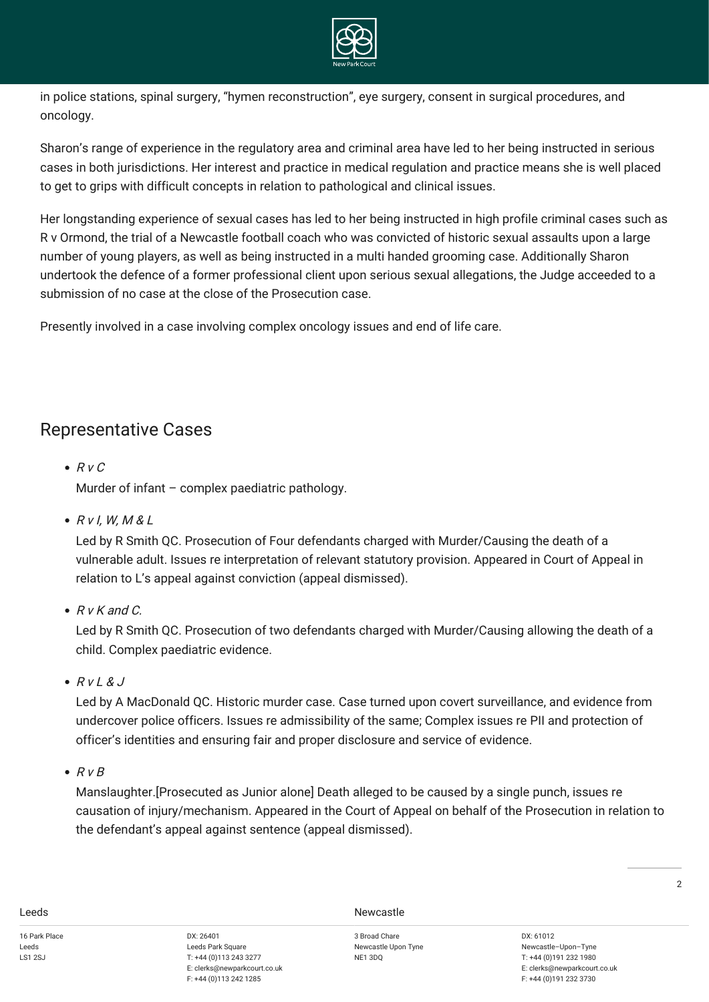

in police stations, spinal surgery, "hymen reconstruction", eye surgery, consent in surgical procedures, and oncology.

Sharon's range of experience in the regulatory area and criminal area have led to her being instructed in serious cases in both jurisdictions. Her interest and practice in medical regulation and practice means she is well placed to get to grips with difficult concepts in relation to pathological and clinical issues.

Her longstanding experience of sexual cases has led to her being instructed in high profile criminal cases such as R v Ormond, the trial of a Newcastle football coach who was convicted of historic sexual assaults upon a large number of young players, as well as being instructed in a multi handed grooming case. Additionally Sharon undertook the defence of a former professional client upon serious sexual allegations, the Judge acceeded to a submission of no case at the close of the Prosecution case.

Presently involved in a case involving complex oncology issues and end of life care.

### <span id="page-3-0"></span>Representative Cases

- $\bullet$  R v C Murder of infant – complex paediatric pathology.
- $\bullet$  R v l, W, M & L

Led by R Smith QC. Prosecution of Four defendants charged with Murder/Causing the death of a vulnerable adult. Issues re interpretation of relevant statutory provision. Appeared in Court of Appeal in relation to L's appeal against conviction (appeal dismissed).

 $\bullet$  R v K and C.

Led by R Smith QC. Prosecution of two defendants charged with Murder/Causing allowing the death of a child. Complex paediatric evidence.

 $\bullet$  R v L & J

Led by A MacDonald QC. Historic murder case. Case turned upon covert surveillance, and evidence from undercover police officers. Issues re admissibility of the same; Complex issues re PII and protection of officer's identities and ensuring fair and proper disclosure and service of evidence.

 $\bullet$  R v B

Manslaughter.[Prosecuted as Junior alone] Death alleged to be caused by a single punch, issues re causation of injury/mechanism. Appeared in the Court of Appeal on behalf of the Prosecution in relation to the defendant's appeal against sentence (appeal dismissed).

**Leeds** Newcastle

3 Broad Chare Newcastle Upon Tyne NE1 3DQ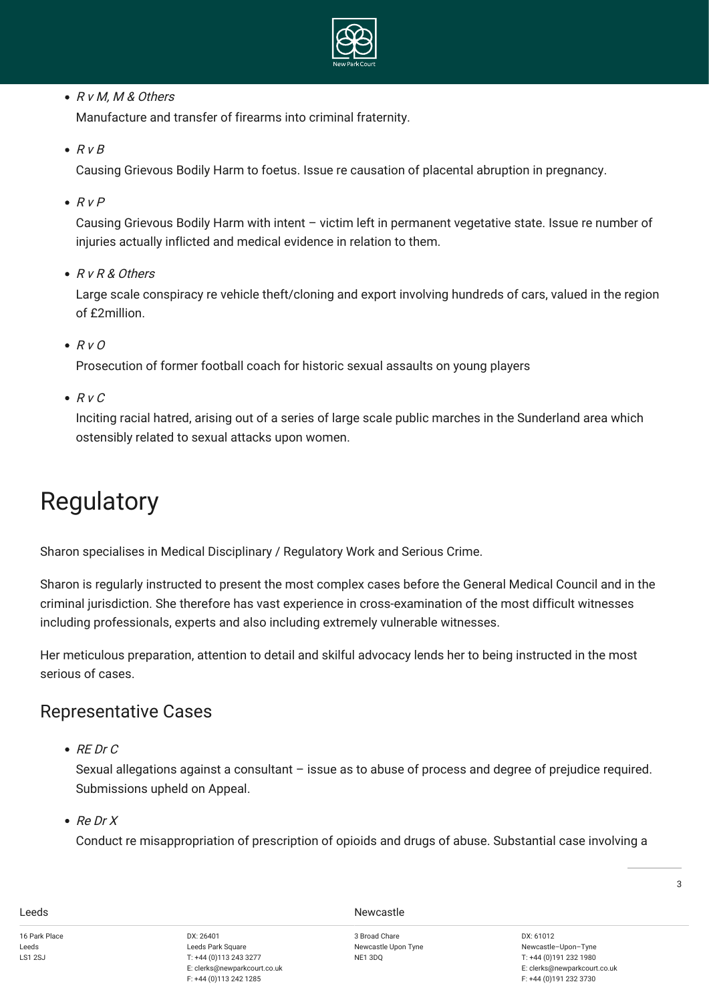

• R v M, M & Others

Manufacture and transfer of firearms into criminal fraternity.

 $\bullet$  R v B

Causing Grievous Bodily Harm to foetus. Issue re causation of placental abruption in pregnancy.

 $RVP$ 

Causing Grievous Bodily Harm with intent – victim left in permanent vegetative state. Issue re number of injuries actually inflicted and medical evidence in relation to them.

R v R & Others

Large scale conspiracy re vehicle theft/cloning and export involving hundreds of cars, valued in the region of £2million.

 $\bullet$  R v O

Prosecution of former football coach for historic sexual assaults on young players

 $\bullet$  R v C

Inciting racial hatred, arising out of a series of large scale public marches in the Sunderland area which ostensibly related to sexual attacks upon women.

# <span id="page-4-0"></span>Regulatory

Sharon specialises in Medical Disciplinary / Regulatory Work and Serious Crime.

Sharon is regularly instructed to present the most complex cases before the General Medical Council and in the criminal jurisdiction. She therefore has vast experience in cross-examination of the most difficult witnesses including professionals, experts and also including extremely vulnerable witnesses.

Her meticulous preparation, attention to detail and skilful advocacy lends her to being instructed in the most serious of cases.

### <span id="page-4-1"></span>Representative Cases

 $\bullet$  RE Dr C

Sexual allegations against a consultant – issue as to abuse of process and degree of prejudice required. Submissions upheld on Appeal.

 $\bullet$  Re Dr X

Conduct re misappropriation of prescription of opioids and drugs of abuse. Substantial case involving a

Leeds Newcastle

3 Broad Chare Newcastle Upon Tyne NE1 3DQ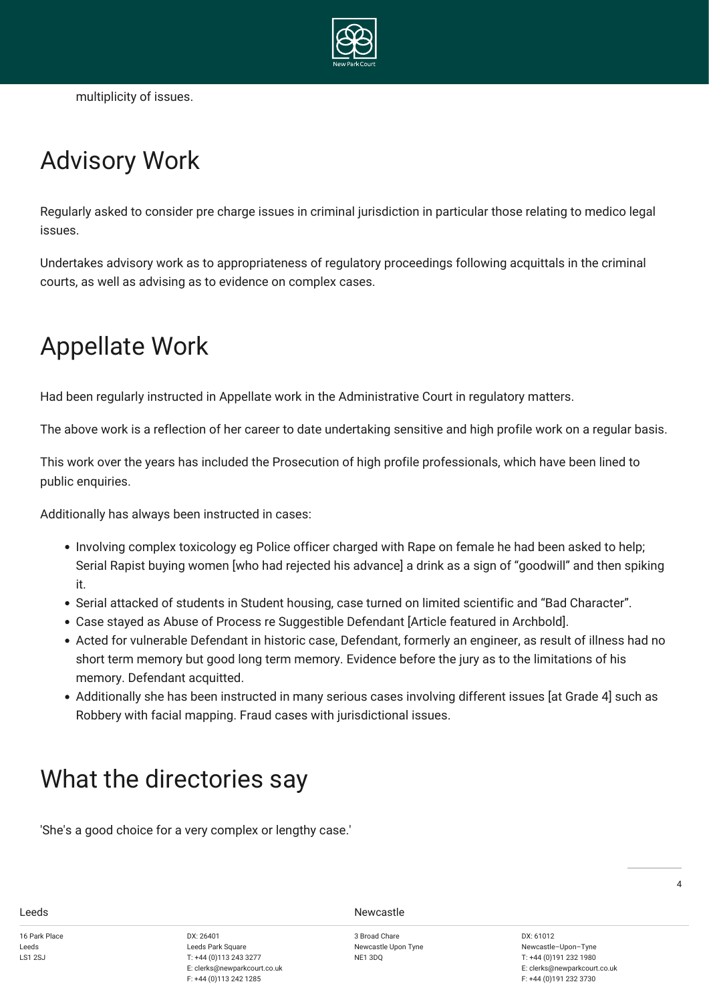

multiplicity of issues.

# <span id="page-5-0"></span>Advisory Work

Regularly asked to consider pre charge issues in criminal jurisdiction in particular those relating to medico legal issues.

Undertakes advisory work as to appropriateness of regulatory proceedings following acquittals in the criminal courts, as well as advising as to evidence on complex cases.

## <span id="page-5-1"></span>Appellate Work

Had been regularly instructed in Appellate work in the Administrative Court in regulatory matters.

The above work is a reflection of her career to date undertaking sensitive and high profile work on a regular basis.

This work over the years has included the Prosecution of high profile professionals, which have been lined to public enquiries.

Additionally has always been instructed in cases:

- Involving complex toxicology eg Police officer charged with Rape on female he had been asked to help; Serial Rapist buying women [who had rejected his advance] a drink as a sign of "goodwill" and then spiking it.
- Serial attacked of students in Student housing, case turned on limited scientific and "Bad Character".
- Case stayed as Abuse of Process re Suggestible Defendant [Article featured in Archbold].
- Acted for vulnerable Defendant in historic case, Defendant, formerly an engineer, as result of illness had no short term memory but good long term memory. Evidence before the jury as to the limitations of his memory. Defendant acquitted.
- Additionally she has been instructed in many serious cases involving different issues [at Grade 4] such as Robbery with facial mapping. Fraud cases with jurisdictional issues.

### <span id="page-5-2"></span>What the directories say

'She's a good choice for a very complex or lengthy case.'

16 Park Place Leeds LS1 2S L

DX: 26401 Leeds Park Square T: +44 (0)113 243 3277 E: clerks@newparkcourt.co.uk F: +44 (0)113 242 1285

Leeds Newcastle

3 Broad Chare Newcastle Upon Tyne NE1 3DQ

DX: 61012 Newcastle–Upon–Tyne T: +44 (0)191 232 1980 E: clerks@newparkcourt.co.uk F: +44 (0)191 232 3730

 $\overline{A}$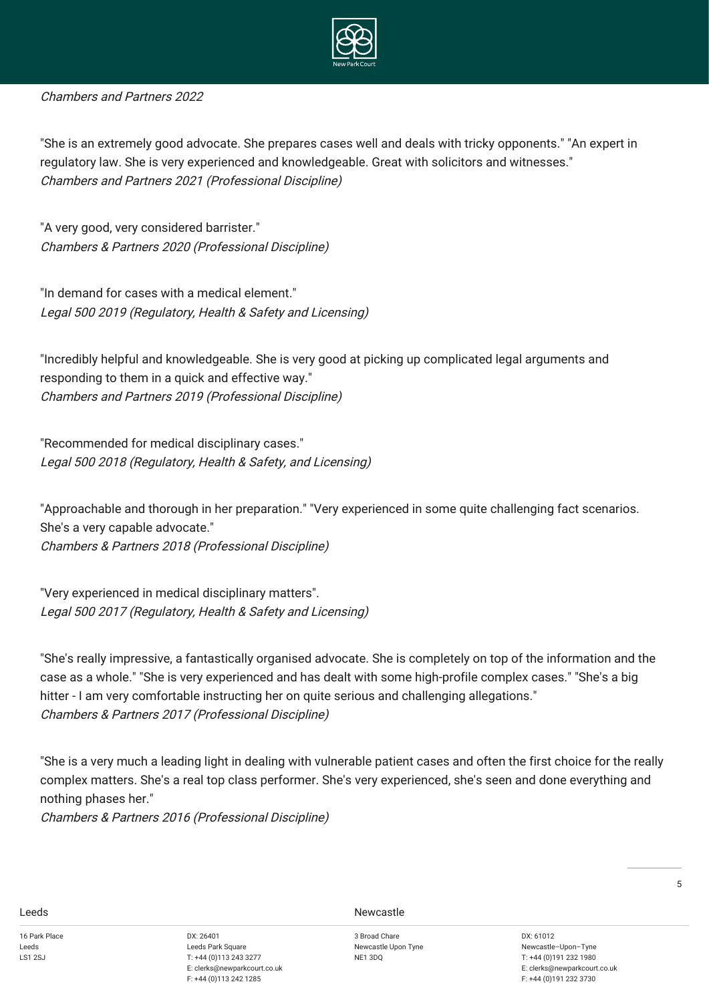

#### Chambers and Partners 2022

"She is an extremely good advocate. She prepares cases well and deals with tricky opponents." "An expert in regulatory law. She is very experienced and knowledgeable. Great with solicitors and witnesses." Chambers and Partners 2021 (Professional Discipline)

"A very good, very considered barrister." Chambers & Partners 2020 (Professional Discipline)

"In demand for cases with a medical element." Legal 500 2019 (Regulatory, Health & Safety and Licensing)

"Incredibly helpful and knowledgeable. She is very good at picking up complicated legal arguments and responding to them in a quick and effective way." Chambers and Partners 2019 (Professional Discipline)

"Recommended for medical disciplinary cases." Legal 500 2018 (Regulatory, Health & Safety, and Licensing)

"Approachable and thorough in her preparation." "Very experienced in some quite challenging fact scenarios. She's a very capable advocate." Chambers & Partners 2018 (Professional Discipline)

"Very experienced in medical disciplinary matters". Legal 500 2017 (Regulatory, Health & Safety and Licensing)

"She's really impressive, a fantastically organised advocate. She is completely on top of the information and the case as a whole." "She is very experienced and has dealt with some high-profile complex cases." "She's a big hitter - I am very comfortable instructing her on quite serious and challenging allegations." Chambers & Partners 2017 (Professional Discipline)

"She is a very much a leading light in dealing with vulnerable patient cases and often the first choice for the really complex matters. She's a real top class performer. She's very experienced, she's seen and done everything and nothing phases her."

Chambers & Partners 2016 (Professional Discipline)

16 Park Place Leeds LS1 2S L

DX: 26401 Leeds Park Square T: +44 (0)113 243 3277 E: clerks@newparkcourt.co.uk F: +44 (0)113 242 1285

**Leeds** Newcastle

3 Broad Chare Newcastle Upon Tyne NE1 3DQ

DX: 61012 Newcastle–Upon–Tyne T: +44 (0)191 232 1980 E: clerks@newparkcourt.co.uk F: +44 (0)191 232 3730

5